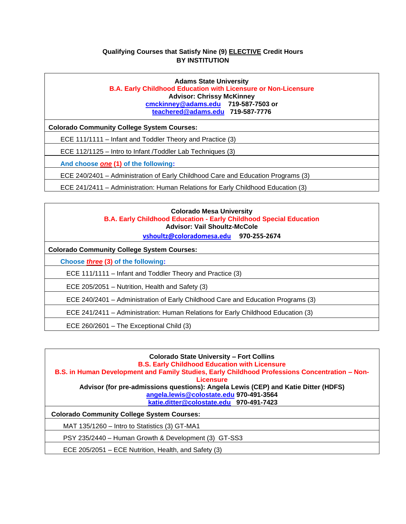# **Qualifying Courses that Satisfy Nine (9) ELECTIVE Credit Hours BY INSTITUTION**

# **Adams State University B.A. Early Childhood Education with Licensure or Non-Licensure Advisor: Chrissy McKinney [cmckinney@adams.edu](mailto:cmckinney@adams.edu) 719-587-7503 or [teachered@adams.edu](mailto:teachered@adams.edu) 719-587-7776**

**Colorado Community College System Courses:**

ECE 111/1111 – Infant and Toddler Theory and Practice (3)

ECE 112/1125 – Intro to Infant /Toddler Lab Techniques (3)

**And choose** *one* **(1) of the following:**

ECE 240/2401 – Administration of Early Childhood Care and Education Programs (3)

ECE 241/2411 – Administration: Human Relations for Early Childhood Education (3)

## **Colorado Mesa University B.A. Early Childhood Education - Early Childhood Special Education Advisor: Vail Shoultz-McCole [vshoultz@coloradomesa.edu](mailto:vshoultz@coloradomesa.edu) 970-255-2674**

**Colorado Community College System Courses:**

**Choose** *three* **(3) of the following:**

ECE 111/1111 – Infant and Toddler Theory and Practice (3)

ECE 205/2051 – Nutrition, Health and Safety (3)

ECE 240/2401 – Administration of Early Childhood Care and Education Programs (3)

ECE 241/2411 – Administration: Human Relations for Early Childhood Education (3)

ECE 260/2601 – The Exceptional Child (3)

| <b>Colorado State University - Fort Collins</b><br><b>B.S. Early Childhood Education with Licensure</b><br>B.S. in Human Development and Family Studies, Early Childhood Professions Concentration - Non-<br>Licensure<br>Advisor (for pre-admissions questions): Angela Lewis (CEP) and Katie Ditter (HDFS)<br>angela.lewis@colostate.edu 970-491-3564 |
|---------------------------------------------------------------------------------------------------------------------------------------------------------------------------------------------------------------------------------------------------------------------------------------------------------------------------------------------------------|
| katie.ditter@colostate.edu 970-491-7423                                                                                                                                                                                                                                                                                                                 |
| <b>Colorado Community College System Courses:</b>                                                                                                                                                                                                                                                                                                       |
| MAT 135/1260 – Intro to Statistics (3) GT-MA1                                                                                                                                                                                                                                                                                                           |
| PSY 235/2440 – Human Growth & Development (3) GT-SS3                                                                                                                                                                                                                                                                                                    |
| ECE 205/2051 – ECE Nutrition, Health, and Safety (3)                                                                                                                                                                                                                                                                                                    |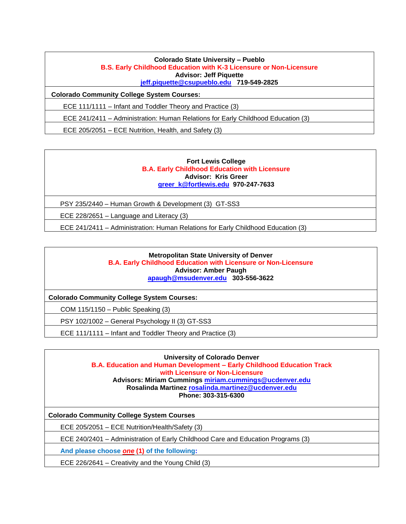#### **Colorado State University – Pueblo B.S. Early Childhood Education with K-3 Licensure or Non-Licensure Advisor: Jeff Piquette [jeff.piquette@csupueblo.edu](mailto:jeff.piquette@csupueblo.edu) 719-549-2825**

**Colorado Community College System Courses:**

ECE 111/1111 – Infant and Toddler Theory and Practice (3)

ECE 241/2411 – Administration: Human Relations for Early Childhood Education (3)

ECE 205/2051 – ECE Nutrition, Health, and Safety (3)

### **Fort Lewis College B.A. Early Childhood Education with Licensure Advisor: Kris Greer [greer\\_k@fortlewis.edu](mailto:greer_k@fortlewis.edu) 970-247-7633**

PSY 235/2440 – Human Growth & Development (3) GT-SS3

ECE 228/2651 – Language and Literacy (3)

ECE 241/2411 – Administration: Human Relations for Early Childhood Education (3)

### **Metropolitan State University of Denver B.A. Early Childhood Education with Licensure or Non-Licensure Advisor: Amber Paugh [apaugh@msudenver.edu](mailto:apaugh@msudenver.edu) 303-556-3622**

**Colorado Community College System Courses:**

COM 115/1150 – Public Speaking (3)

PSY 102/1002 – General Psychology II (3) GT-SS3

ECE 111/1111 – Infant and Toddler Theory and Practice (3)

**University of Colorado Denver**

**B.A. Education and Human Development – Early Childhood Education Track with Licensure or Non-Licensure Advisors: Miriam Cummings [miriam.cummings@ucdenver.edu](mailto:miriam.cummings@ucdenver.edu)**

**Rosalinda Martinez [rosalinda.martinez@ucdenver.edu](mailto:rosalinda.martinez@ucdenver.edu) Phone: 303-315-6300**

**Colorado Community College System Courses** 

ECE 205/2051 – ECE Nutrition/Health/Safety (3)

ECE 240/2401 – Administration of Early Childhood Care and Education Programs (3)

**And please choose** *one* **(1) of the following:**

ECE 226/2641 – Creativity and the Young Child (3)